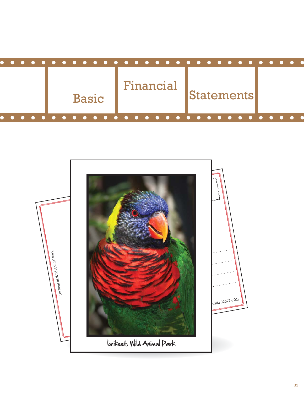| $\bullet\hspace{0.4mm}\bullet\hspace{0.4mm}\bullet\hspace{0.4mm}$ |              |           |                      |                |
|-------------------------------------------------------------------|--------------|-----------|----------------------|----------------|
|                                                                   | <b>Basic</b> | Financial | Statements           |                |
| $\bullet\quad \bullet\quad$                                       |              | .         | .<br><b>COMPUTER</b> | <b>COMPUTE</b> |

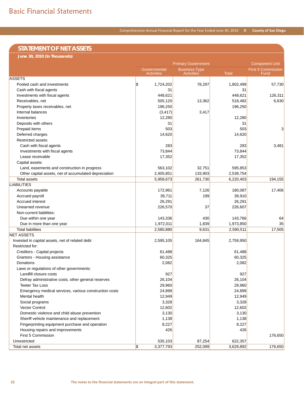# **STATEMENT OF NET ASSETS**

**June 30, 2010 (In Thousands)**

|                                                        | <b>Primary Government</b>         | <b>Component Unit</b>                     |              |                                   |
|--------------------------------------------------------|-----------------------------------|-------------------------------------------|--------------|-----------------------------------|
|                                                        | Governmental<br><b>Activities</b> | <b>Business-Type</b><br><b>Activities</b> | <b>Total</b> | <b>First 5 Commission</b><br>Fund |
| <b>ASSETS</b>                                          |                                   |                                           |              |                                   |
| Pooled cash and investments                            | \$<br>1,724,202                   | 78,297                                    | 1,802,499    | 57,730                            |
| Cash with fiscal agents                                | 31                                |                                           | 31           |                                   |
| Investments with fiscal agents                         | 448,621                           |                                           | 448,621      | 126,311                           |
| Receivables, net                                       | 505,120                           | 13,362                                    | 518,482      | 6,630                             |
| Property taxes receivables, net                        | 196,250                           |                                           | 196,250      |                                   |
| Internal balances                                      | (3, 417)                          | 3,417                                     |              |                                   |
| Inventories                                            | 12,280                            |                                           | 12,280       |                                   |
| Deposits with others                                   | 31                                |                                           | 31           |                                   |
| Prepaid items                                          | 503                               |                                           | 503          | 3                                 |
| Deferred charges                                       | 14,620                            |                                           | 14,620       |                                   |
| Restricted assets:                                     |                                   |                                           |              |                                   |
| Cash with fiscal agents                                | 283                               |                                           | 283          | 3,481                             |
| Investments with fiscal agents                         | 73,844                            |                                           | 73,844       |                                   |
| Lease receivable                                       | 17,352                            |                                           | 17,352       |                                   |
| Capital assets:                                        |                                   |                                           |              |                                   |
| Land, easements and construction in progress           | 563,102                           | 32,751                                    | 595,853      |                                   |
| Other capital assets, net of accumulated depreciation  | 2,405,851                         | 133,903                                   | 2,539,754    |                                   |
| <b>Total assets</b>                                    | 5,958,673                         | 261,730                                   | 6,220,403    | 194,155                           |
| <b>LIABILITIES</b>                                     |                                   |                                           |              |                                   |
| Accounts payable                                       | 172,961                           | 7,126                                     | 180,087      | 17,406                            |
| Accrued payroll                                        | 39,711                            | 199                                       | 39,910       |                                   |
| Accrued interest                                       | 26,291                            |                                           | 26,291       |                                   |
| Unearned revenue                                       | 226,570                           | 37                                        | 226,607      |                                   |
| Non-current liabilities:                               |                                   |                                           |              |                                   |
| Due within one year                                    | 143,336                           | 430                                       | 143,766      | 64                                |
| Due in more than one year                              | 1,972,011                         | 1,839                                     | 1,973,850    | 35                                |
| <b>Total liabilities</b>                               | 2,580,880                         | 9,631                                     | 2,590,511    | 17,505                            |
| <b>NET ASSETS</b>                                      |                                   |                                           |              |                                   |
| Invested in capital assets, net of related debt        | 2,595,105                         | 164,845                                   | 2,759,950    |                                   |
| Restricted for:                                        |                                   |                                           |              |                                   |
| Creditors - Capital projects                           | 61,488                            |                                           | 61,488       |                                   |
| Grantors - Housing assistance                          | 60,325                            |                                           | 60,325       |                                   |
| Donations                                              | 2,082                             |                                           | 2,082        |                                   |
| Laws or regulations of other governments:              |                                   |                                           |              |                                   |
| Landfill closure costs                                 | 927                               |                                           | 927          |                                   |
| Defray administrative costs, other general reserves    | 26,104                            |                                           | 26.104       |                                   |
| <b>Teeter Tax Loss</b>                                 | 29,960                            |                                           | 29,960       |                                   |
| Emergency medical services, various construction costs | 24,899                            |                                           | 24,899       |                                   |
| Mental health                                          | 12,949                            |                                           | 12,949       |                                   |
| Social programs                                        | 3,328                             |                                           | 3,328        |                                   |
| <b>Vector Control</b>                                  | 12,602                            |                                           | 12,602       |                                   |
| Domestic violence and child abuse prevention           | 3,130                             |                                           | 3,130        |                                   |
| Sheriff vehicle maintenance and replacement            | 1,138                             |                                           | 1,138        |                                   |
| Fingerprinting equipment purchase and operation        | 8,227                             |                                           | 8,227        |                                   |
| Housing repairs and improvements                       | 426                               |                                           | 426          |                                   |
| First 5 Commission                                     |                                   |                                           |              | 176,650                           |
| Unrestricted                                           | 535,103                           | 87,254                                    | 622,357      |                                   |
|                                                        | $\sqrt{3}$<br>3,377,793           | 252,099                                   | 3,629,892    | 176,650                           |
| Total net assets                                       |                                   |                                           |              |                                   |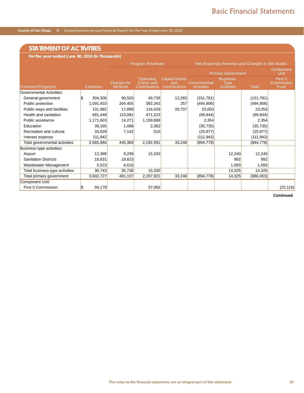# **STATEMENT OF ACTIVITIES**

**For the year ended June 30, 2010 (In Thousands)**

|                                 |          |                 | <b>Program Revenues</b>               |                                                        |                                                      |                                   | Net (Expense) Revenue and Changes in Net Assets      |                   |                               |
|---------------------------------|----------|-----------------|---------------------------------------|--------------------------------------------------------|------------------------------------------------------|-----------------------------------|------------------------------------------------------|-------------------|-------------------------------|
|                                 |          |                 |                                       |                                                        | <b>Primary Government</b>                            |                                   |                                                      | Component<br>Únit |                               |
| Functions/Programs:             |          | <b>Expenses</b> | <b>Charges for</b><br><b>Services</b> | Operating<br><b>Grants and</b><br><b>Contributions</b> | <b>Capital Grants</b><br>and<br><b>Contributions</b> | Governmental<br><b>Activities</b> | <b>Business-</b><br><b>Type</b><br><b>Activities</b> | <b>Total</b>      | First 5<br>Commission<br>Fund |
| <b>Governmental Activities:</b> |          |                 |                                       |                                                        |                                                      |                                   |                                                      |                   |                               |
| General government              | <b>S</b> | 304,305         | 90,503                                | 49,739                                                 | 12,282                                               | (151, 781)                        |                                                      | (151, 781)        |                               |
| Public protection               |          | 1,091,910       | 204,405                               | 392,342                                                | 257                                                  | (494, 906)                        |                                                      | (494,906)         |                               |
| Public ways and facilities      |          | 131,982         | 17,899                                | 116,429                                                | 20,707                                               | 23,053                            |                                                      | 23,053            |                               |
| Health and sanitation           |          | 681,448         | 110,081                               | 471,523                                                |                                                      | (99, 844)                         |                                                      | (99, 844)         |                               |
| Public assistance               |          | 1,171,603       | 14,271                                | 1,159,686                                              |                                                      | 2,354                             |                                                      | 2,354             |                               |
| Education                       |          | 39,165          | 1,068                                 | 2,362                                                  |                                                      | (35, 735)                         |                                                      | (35, 735)         |                               |
| Recreation and cultural         |          | 33,629          | 7,142                                 | 510                                                    |                                                      | (25, 977)                         |                                                      | (25, 977)         |                               |
| Interest expense                |          | 111,942         |                                       |                                                        |                                                      | (111, 942)                        |                                                      | (111, 942)        |                               |
| Total governmental activities   |          | 3,565,984       | 445,369                               | 2,192,591                                              | 33,246                                               | (894, 778)                        |                                                      | (894, 778)        |                               |
| Business-type activities:       |          |                 |                                       |                                                        |                                                      |                                   |                                                      |                   |                               |
| Airport                         |          | 12,389          | 9,299                                 | 15,330                                                 |                                                      |                                   | 12,240                                               | 12,240            |                               |
| <b>Sanitation Districts</b>     |          | 18,831          | 19,823                                |                                                        |                                                      |                                   | 992                                                  | 992               |                               |
| Wastewater Management           |          | 5,523           | 6,616                                 |                                                        |                                                      |                                   | 1,093                                                | 1,093             |                               |
| Total business-type activities  |          | 36,743          | 35,738                                | 15,330                                                 |                                                      |                                   | 14,325                                               | 14,325            |                               |
| Total primary government        |          | 3,602,727       | 481,107                               | 2,207,921                                              | 33,246                                               | (894, 778)                        | 14,325                                               | (880, 453)        |                               |
| Component Unit:                 |          |                 |                                       |                                                        |                                                      |                                   |                                                      |                   |                               |
| First 5 Commission              | l\$      | 59,178          |                                       | 37,062                                                 |                                                      |                                   |                                                      |                   | (22, 116)                     |

 **Continued**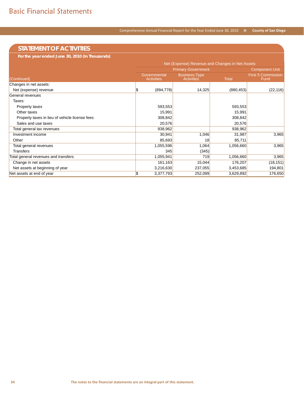# **STATEMENT OF ACTIVITIES**

**For the year ended June 30, 2010 (In Thousands)**

|                                                | Net (Expense) Revenue and Changes in Net Assets |                                           |              |                                   |  |  |
|------------------------------------------------|-------------------------------------------------|-------------------------------------------|--------------|-----------------------------------|--|--|
|                                                |                                                 | <b>Component Unit</b>                     |              |                                   |  |  |
| (Continued)                                    | Governmental<br><b>Activities</b>               | <b>Business-Type</b><br><b>Activities</b> | <b>Total</b> | <b>First 5 Commission</b><br>Fund |  |  |
| Changes in net assets:                         |                                                 |                                           |              |                                   |  |  |
| Net (expense) revenue                          | (894, 778)<br>S                                 | 14,325                                    | (880, 453)   | (22, 116)                         |  |  |
| General revenues                               |                                                 |                                           |              |                                   |  |  |
| Taxes:                                         |                                                 |                                           |              |                                   |  |  |
| Property taxes                                 | 593,553                                         |                                           | 593,553      |                                   |  |  |
| Other taxes                                    | 15,991                                          |                                           | 15,991       |                                   |  |  |
| Property taxes in lieu of vehicle license fees | 308,842                                         |                                           | 308,842      |                                   |  |  |
| Sales and use taxes                            | 20,576                                          |                                           | 20,576       |                                   |  |  |
| Total general tax revenues                     | 938,962                                         |                                           | 938,962      |                                   |  |  |
| Investment income                              | 30,941                                          | 1,046                                     | 31,987       | 3,965                             |  |  |
| Other                                          | 85,693                                          | 18                                        | 85,711       |                                   |  |  |
| Total general revenues                         | 1,055,596                                       | 1,064                                     | 1,056,660    | 3,965                             |  |  |
| <b>Transfers</b>                               | 345                                             | (345)                                     |              |                                   |  |  |
| Total general revenues and transfers           | 1,055,941                                       | 719                                       | 1,056,660    | 3,965                             |  |  |
| Change in net assets                           | 161,163                                         | 15,044                                    | 176,207      | (18, 151)                         |  |  |
| Net assets at beginning of year                | 3,216,630                                       | 237,055                                   | 3,453,685    | 194,801                           |  |  |
| Net assets at end of year                      | \$<br>3,377,793                                 | 252,099                                   | 3,629,892    | 176,650                           |  |  |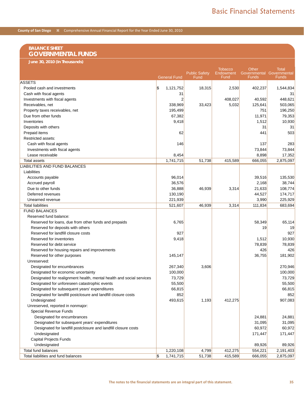### **BALANCE SHEET GOVERNMENTAL FUNDS**

**June 30, 2010 (In Thousands)**

|                                                                      | <b>General Fund</b>                    | <b>Public Safety</b><br>Fund | <b>Tobacco</b><br><b>Endowment</b><br><b>Eund</b> | Other<br>Governmental Governmental<br>Funds | <b>Total</b><br><b>Funds</b> |
|----------------------------------------------------------------------|----------------------------------------|------------------------------|---------------------------------------------------|---------------------------------------------|------------------------------|
| <b>ASSETS</b>                                                        |                                        |                              |                                                   |                                             |                              |
| Pooled cash and investments                                          | $\boldsymbol{\mathsf{s}}$<br>1,121,752 | 18,315                       | 2,530                                             | 402,237                                     | 1,544,834                    |
| Cash with fiscal agents                                              |                                        | 31                           |                                                   |                                             | 31                           |
| Investments with fiscal agents                                       |                                        | 2                            | 408,027                                           | 40,592                                      | 448,621                      |
| Receivables, net                                                     | 338,969                                | 33,423                       | 5,032                                             | 125,641                                     | 503,065                      |
| Property taxes receivables, net                                      | 195,499                                |                              |                                                   | 751                                         | 196,250                      |
| Due from other funds                                                 | 67,382                                 |                              |                                                   | 11,971                                      | 79,353                       |
| Inventories                                                          | 9,418                                  |                              |                                                   | 1,512                                       | 10,930                       |
| Deposits with others                                                 |                                        |                              |                                                   | 31                                          | 31                           |
| Prepaid items                                                        |                                        | 62                           |                                                   | 441                                         | 503                          |
| Restricted assets:                                                   |                                        |                              |                                                   |                                             |                              |
| Cash with fiscal agents                                              | 146                                    |                              |                                                   | 137                                         | 283                          |
| Investments with fiscal agents                                       |                                        |                              |                                                   | 73,844                                      | 73,844                       |
| Lease receivable                                                     | 8,454                                  |                              |                                                   | 8,898                                       | 17,352                       |
| <b>Total assets</b>                                                  | 1,741,715                              | 51,738                       | 415,589                                           | 666,055                                     | 2,875,097                    |
| LIABILITIES AND FUND BALANCES                                        |                                        |                              |                                                   |                                             |                              |
| Liabilities                                                          |                                        |                              |                                                   |                                             |                              |
| Accounts payable                                                     | 96,014                                 |                              |                                                   | 39,516                                      | 135,530                      |
| Accrued payroll                                                      | 36,576                                 |                              |                                                   | 2,168                                       | 38,744                       |
| Due to other funds                                                   | 36,888                                 | 46,939                       | 3,314                                             | 21,633                                      | 108,774                      |
| Deferred revenues                                                    | 130,190                                |                              |                                                   | 44,527                                      | 174,717                      |
| Unearned revenue                                                     | 221,939                                |                              |                                                   | 3,990                                       | 225,929                      |
| <b>Total liabilities</b>                                             | 521,607                                | 46,939                       | 3,314                                             | 111,834                                     | 683,694                      |
| <b>FUND BALANCES</b>                                                 |                                        |                              |                                                   |                                             |                              |
| Reserved fund balance:                                               |                                        |                              |                                                   |                                             |                              |
| Reserved for loans, due from other funds and prepaids                | 6,765                                  |                              |                                                   | 58,349                                      | 65,114                       |
| Reserved for deposits with others                                    |                                        |                              |                                                   | 19                                          | 19                           |
| Reserved for landfill closure costs                                  | 927                                    |                              |                                                   |                                             | 927                          |
| Reserved for inventories                                             | 9,418                                  |                              |                                                   | 1,512                                       | 10,930                       |
| Reserved for debt service                                            |                                        |                              |                                                   | 78,839                                      | 78,839                       |
| Reserved for housing repairs and improvements                        |                                        |                              |                                                   | 426                                         | 426                          |
| Reserved for other purposes                                          | 145,147                                |                              |                                                   | 36,755                                      | 181,902                      |
| Unreserved:                                                          |                                        |                              |                                                   |                                             |                              |
| Designated for encumbrances                                          | 267,340                                | 3,606                        |                                                   |                                             | 270,946                      |
| Designated for economic uncertainty                                  | 100,000                                |                              |                                                   |                                             | 100,000                      |
| Designated for realignment health, mental health and social services | 73,729                                 |                              |                                                   |                                             | 73,729                       |
| Designated for unforeseen catastrophic events                        | 55,500                                 |                              |                                                   |                                             | 55,500                       |
| Designated for subsequent years' expenditures                        | 66,815                                 |                              |                                                   |                                             | 66,815                       |
| Designated for landfill postclosure and landfill closure costs       | 852                                    |                              |                                                   |                                             | 852                          |
| Undesignated                                                         | 493,615                                | 1,193                        | 412,275                                           |                                             | 907,083                      |
| Unreserved, reported in nonmajor:                                    |                                        |                              |                                                   |                                             |                              |
| Special Revenue Funds                                                |                                        |                              |                                                   |                                             |                              |
| Designated for encumbrances                                          |                                        |                              |                                                   | 24,881                                      | 24,881                       |
| Designated for subsequent years' expenditures                        |                                        |                              |                                                   | 31,095                                      | 31,095                       |
| Designated for landfill postclosure and landfill closure costs       |                                        |                              |                                                   | 60,972                                      | 60,972                       |
| Undesignated                                                         |                                        |                              |                                                   |                                             |                              |
|                                                                      |                                        |                              |                                                   | 171,447                                     | 171,447                      |
| <b>Capital Projects Funds</b>                                        |                                        |                              |                                                   |                                             |                              |
| Undesignated<br>Total fund balances                                  |                                        |                              |                                                   | 89,926                                      | 89,926                       |
|                                                                      | 1,220,108                              | 4,799                        | 412,275                                           | 554,221                                     | 2,191,403                    |
| Total liabilities and fund balances                                  | S)<br>1,741,715                        | 51,738                       | 415,589                                           | 666,055                                     | 2,875,097                    |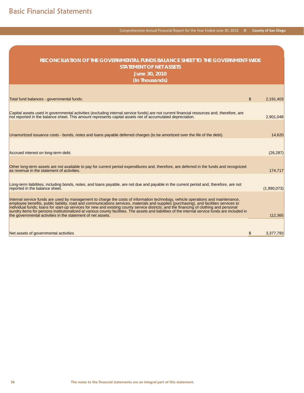| RECONCILIATION OF THE GOVERNMENTAL FUNDS BALANCE SHEET TO THE GOVERNMENT-WIDE<br><b>STATEMENT OF NET ASSETS</b><br>June 30, 2010<br>(In Thousands)                                                                                                                                                                                                                                                                                                                                                                                                                                                                                        |                 |
|-------------------------------------------------------------------------------------------------------------------------------------------------------------------------------------------------------------------------------------------------------------------------------------------------------------------------------------------------------------------------------------------------------------------------------------------------------------------------------------------------------------------------------------------------------------------------------------------------------------------------------------------|-----------------|
|                                                                                                                                                                                                                                                                                                                                                                                                                                                                                                                                                                                                                                           |                 |
| Total fund balances - governmental funds.                                                                                                                                                                                                                                                                                                                                                                                                                                                                                                                                                                                                 | \$<br>2,191,403 |
| Capital assets used in governmental activities (excluding internal service funds) are not current financial resources and, therefore, are<br>not reported in the balance sheet. This amount represents capital assets net of accumulated depreciation.                                                                                                                                                                                                                                                                                                                                                                                    | 2,901,048       |
|                                                                                                                                                                                                                                                                                                                                                                                                                                                                                                                                                                                                                                           |                 |
| Unamortized issuance costs - bonds, notes and loans payable deferred charges (to be amortized over the life of the debt).                                                                                                                                                                                                                                                                                                                                                                                                                                                                                                                 | 14,620          |
| Accrued interest on long-term debt.                                                                                                                                                                                                                                                                                                                                                                                                                                                                                                                                                                                                       | (26, 287)       |
| Other long-term assets are not available to pay for current period expenditures and, therefore, are deferred in the funds and recognized<br>as revenue in the statement of activities.                                                                                                                                                                                                                                                                                                                                                                                                                                                    | 174,717         |
| Long-term liabilities, including bonds, notes, and loans payable, are not due and payable in the current period and, therefore, are not<br>reported in the balance sheet.                                                                                                                                                                                                                                                                                                                                                                                                                                                                 | (1,990,073)     |
| Internal service funds are used by management to charge the costs of information technology, vehicle operations and maintenance,<br>employee benefits, public liability, road and communications services, materials and supplies (purchasing), and facilities services to<br>individual funds; loans for start-up services for new and existing county service districts; and the financing of clothing and personal<br>sundry items for persons institutionalized at various county facilities. The assets and liabilities of the internal service funds are included in<br>the governmental activities in the statement of net assets. | 112,365         |
| Net assets of governmental activities                                                                                                                                                                                                                                                                                                                                                                                                                                                                                                                                                                                                     | \$<br>3,377,793 |

Comprehensive Annual Financial Report for the Year Ended June 30, 2010 **County of San Diego**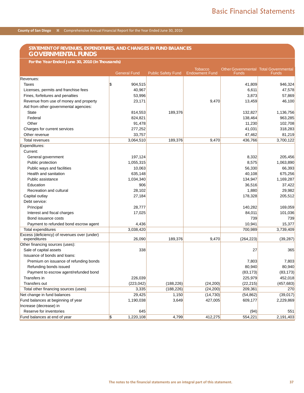### **STATEMENT OF REVENUES, EXPENDITURES, AND CHANGES IN FUND BALANCES GOVERNMENTAL FUNDS**

**For the Year Ended June 30, 2010 (In Thousands)**

|                                              | <b>General Fund</b>                    | <b>Public Safety Fund</b> | <b>Tobacco</b><br><b>Endowment Fund</b> | <b>Other Governmental Total Governmental</b><br>Funds | Funds      |
|----------------------------------------------|----------------------------------------|---------------------------|-----------------------------------------|-------------------------------------------------------|------------|
| Revenues:                                    |                                        |                           |                                         |                                                       |            |
| Taxes                                        | $\overline{\mathcal{S}}$<br>904,515    |                           |                                         | 41,809                                                | 946,324    |
| Licenses, permits and franchise fees         | 40,967                                 |                           |                                         | 6,611                                                 | 47,578     |
| Fines, forfeitures and penalties             | 53,996                                 |                           |                                         | 3,873                                                 | 57,869     |
| Revenue from use of money and property       | 23,171                                 |                           | 9,470                                   | 13,459                                                | 46,100     |
| Aid from other governmental agencies:        |                                        |                           |                                         |                                                       |            |
| <b>State</b>                                 | 814,553                                | 189,376                   |                                         | 132,827                                               | 1,136,756  |
| Federal                                      | 824,821                                |                           |                                         | 138,464                                               | 963,285    |
| Other                                        | 91,478                                 |                           |                                         | 11,230                                                | 102,708    |
| Charges for current services                 | 277,252                                |                           |                                         | 41,031                                                | 318,283    |
| Other revenue                                | 33,757                                 |                           |                                         | 47,462                                                | 81,219     |
| <b>Total revenues</b>                        | 3,064,510                              | 189,376                   | 9,470                                   | 436,766                                               | 3,700,122  |
| Expenditures:                                |                                        |                           |                                         |                                                       |            |
| Current:                                     |                                        |                           |                                         |                                                       |            |
| General government                           | 197,124                                |                           |                                         | 8,332                                                 | 205,456    |
| Public protection                            | 1,055,315                              |                           |                                         | 8,575                                                 | 1,063,890  |
| Public ways and facilities                   | 10,063                                 |                           |                                         | 56,330                                                | 66,393     |
| Health and sanitation                        | 635,148                                |                           |                                         | 40,108                                                | 675,256    |
| Public assistance                            | 1,034,340                              |                           |                                         | 134,947                                               | 1,169,287  |
| Education                                    | 906                                    |                           |                                         | 36,516                                                | 37,422     |
| Recreation and cultural                      | 28,102                                 |                           |                                         | 1,880                                                 | 29,982     |
| Capital outlay                               | 27,184                                 |                           |                                         | 178,328                                               | 205,512    |
| Debt service:                                |                                        |                           |                                         |                                                       |            |
| Principal                                    | 28,777                                 |                           |                                         | 140,282                                               | 169,059    |
| Interest and fiscal charges                  | 17,025                                 |                           |                                         | 84,011                                                | 101,036    |
| Bond issuance costs                          |                                        |                           |                                         | 739                                                   | 739        |
| Payment to refunded bond escrow agent        | 4,436                                  |                           |                                         | 10,941                                                | 15,377     |
| <b>Total expenditures</b>                    | 3,038,420                              |                           |                                         | 700,989                                               | 3,739,409  |
| Excess (deficiency) of revenues over (under) |                                        |                           |                                         |                                                       |            |
| expenditures                                 | 26,090                                 | 189,376                   | 9,470                                   | (264, 223)                                            | (39, 287)  |
| Other financing sources (uses):              |                                        |                           |                                         |                                                       |            |
| Sale of capital assets                       | 338                                    |                           |                                         | 27                                                    | 365        |
| Issuance of bonds and loans:                 |                                        |                           |                                         |                                                       |            |
| Premium on issuance of refunding bonds       |                                        |                           |                                         | 7,803                                                 | 7,803      |
| Refunding bonds issued                       |                                        |                           |                                         | 80,940                                                | 80,940     |
| Payment to escrow agent/refunded bond        |                                        |                           |                                         | (83, 173)                                             | (83, 173)  |
| Transfers in                                 | 226,039                                |                           |                                         | 225,979                                               | 452,018    |
| <b>Transfers out</b>                         | (223, 042)                             | (188, 226)                | (24, 200)                               | (22, 215)                                             | (457, 683) |
| Total other financing sources (uses)         | 3,335                                  | (188, 226)                | (24, 200)                               | 209,361                                               | 270        |
| Net change in fund balances                  | 29,425                                 | 1,150                     | (14, 730)                               | (54, 862)                                             | (39,017)   |
| Fund balances at beginning of year           | 1,190,038                              | 3,649                     | 427,005                                 | 609,177                                               | 2,229,869  |
| Increase (decrease) in                       |                                        |                           |                                         |                                                       |            |
| Reserve for inventories                      | 645                                    |                           |                                         | (94)                                                  | 551        |
| Fund balances at end of year                 | $\boldsymbol{\mathsf{s}}$<br>1,220,108 | 4,799                     | 412,275                                 | 554,221                                               | 2.191.403  |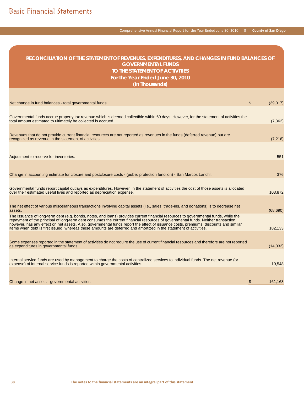| RECONCILIATION OF THE STATEMENT OF REVENUES, EXPENDITURES, AND CHANGES IN FUND BALANCES OF<br><b>GOVERNMENTAL FUNDS</b><br>TO THE STATEMENT OF ACTIVITIES<br>For the Year Ended June 30, 2010<br>(In Thousands)                                                                                                                                                                                                                                                                                                                       |                           |           |
|---------------------------------------------------------------------------------------------------------------------------------------------------------------------------------------------------------------------------------------------------------------------------------------------------------------------------------------------------------------------------------------------------------------------------------------------------------------------------------------------------------------------------------------|---------------------------|-----------|
|                                                                                                                                                                                                                                                                                                                                                                                                                                                                                                                                       |                           |           |
| Net change in fund balances - total governmental funds                                                                                                                                                                                                                                                                                                                                                                                                                                                                                | $\boldsymbol{\mathsf{S}}$ | (39,017)  |
| Governmental funds accrue property tax revenue which is deemed collectible within 60 days. However, for the statement of activities the<br>total amount estimated to ultimately be collected is accrued.                                                                                                                                                                                                                                                                                                                              |                           | (7, 362)  |
| Revenues that do not provide current financial resources are not reported as revenues in the funds (deferred revenue) but are<br>recognized as revenue in the statement of activities.                                                                                                                                                                                                                                                                                                                                                |                           | (7, 216)  |
| Adjustment to reserve for inventories.                                                                                                                                                                                                                                                                                                                                                                                                                                                                                                |                           | 551       |
| Change in accounting estimate for closure and postclosure costs - (public protection function) - San Marcos Landfill.                                                                                                                                                                                                                                                                                                                                                                                                                 |                           | 376       |
| Governmental funds report capital outlays as expenditures. However, in the statement of activities the cost of those assets is allocated<br>over their estimated useful lives and reported as depreciation expense.                                                                                                                                                                                                                                                                                                                   |                           | 103,872   |
| The net effect of various miscellaneous transactions involving capital assets (i.e., sales, trade-ins, and donations) is to decrease net<br>assets.                                                                                                                                                                                                                                                                                                                                                                                   |                           | (68, 690) |
| The issuance of long-term debt (e.g. bonds, notes, and loans) provides current financial resources to governmental funds, while the<br>repayment of the principal of long-term debt consumes the current financial resources of governmental funds. Neither transaction,<br>however, has any effect on net assets. Also, governmental funds report the effect of issuance costs, premiums, discounts and similar<br>items when debt is first issued, whereas these amounts are deferred and amortized in the statement of activities. |                           | 182,133   |
| Some expenses reported in the statement of activities do not require the use of current financial resources and therefore are not reported<br>as expenditures in governmental funds.                                                                                                                                                                                                                                                                                                                                                  |                           | (14, 032) |
| Internal service funds are used by management to charge the costs of centralized services to individual funds. The net revenue (or<br>expense) of internal service funds is reported within governmental activities.                                                                                                                                                                                                                                                                                                                  |                           | 10,548    |
| Change in net assets - governmental activities                                                                                                                                                                                                                                                                                                                                                                                                                                                                                        | \$                        | 161,163   |

Comprehensive Annual Financial Report for the Year Ended June 30, 2010 **County of San Diego**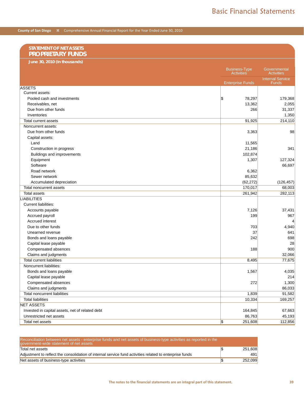| 'STATEMENT OF NET ASSETS |
|--------------------------|
| <b>PROPRIETARY FUNDS</b> |

| June 30, 2010 (In thousands)                             |                                           |                                         |
|----------------------------------------------------------|-------------------------------------------|-----------------------------------------|
|                                                          | <b>Business-Type</b><br><b>Activities</b> | Governmental<br><b>Activities</b>       |
|                                                          | <b>Enterprise Funds</b>                   | <b>Internal Service</b><br><b>Funds</b> |
| <b>ASSETS</b>                                            |                                           |                                         |
| Current assets:                                          |                                           |                                         |
| Pooled cash and investments                              | \$<br>78,297                              | 179,368                                 |
| Receivables, net                                         | 13,362                                    | 2,055                                   |
| Due from other funds                                     | 266                                       | 31,337                                  |
| Inventories                                              |                                           | 1,350                                   |
| Total current assets                                     | 91,925                                    | 214,110                                 |
| Noncurrent assets:                                       |                                           |                                         |
| Due from other funds                                     | 3,363                                     | 98                                      |
| Capital assets:                                          |                                           |                                         |
| Land                                                     | 11,565                                    |                                         |
| Construction in progress                                 | 21,186                                    | 341                                     |
| Buildings and improvements                               | 102,874                                   |                                         |
| Equipment                                                | 1,307                                     | 127,324                                 |
| Software                                                 |                                           | 66,697                                  |
| Road network                                             | 6,362                                     |                                         |
| Sewer network                                            | 85,632                                    |                                         |
| Accumulated depreciation                                 | (62, 272)                                 | (126, 457)                              |
| Total noncurrent assets                                  | 170,017                                   | 68,003                                  |
| <b>Total assets</b>                                      | 261,942                                   | 282,113                                 |
| <b>LIABILITIES</b>                                       |                                           |                                         |
| <b>Current liabilities:</b>                              |                                           |                                         |
| Accounts payable                                         | 7,126                                     | 37,431                                  |
| Accrued payroll                                          | 199                                       | 967                                     |
| Accrued interest                                         |                                           | 4                                       |
| Due to other funds                                       | 703                                       | 4,940                                   |
| Unearned revenue                                         | 37                                        | 641                                     |
|                                                          | 242                                       | 698                                     |
| Bonds and loans payable                                  |                                           | 28                                      |
| Capital lease payable                                    |                                           |                                         |
| Compensated absences                                     | 188                                       | 900<br>32,066                           |
| Claims and judgments<br><b>Total current liabilities</b> | 8,495                                     |                                         |
| Noncurrent liabilities:                                  |                                           | 77,675                                  |
|                                                          |                                           |                                         |
| Bonds and loans payable                                  | 1,567                                     | 4,035                                   |
| Capital lease payable                                    |                                           | 214                                     |
| Compensated absences                                     | 272                                       | 1,300                                   |
| Claims and judgments                                     |                                           | 86,033                                  |
| Total noncurrent liabilities                             | 1,839                                     | 91,582                                  |
| <b>Total liabilities</b>                                 | 10,334                                    | 169,257                                 |
| <b>NET ASSETS</b>                                        |                                           |                                         |
| Invested in capital assets, net of related debt          | 164,845                                   | 67,663                                  |
| Unrestricted net assets                                  | 86,763                                    | 45,193                                  |
| Total net assets                                         | $\overline{\mathcal{F}}$<br>251,608       | 112,856                                 |

| Reconciliation between net assets - enterprise funds and net assets of business-type activities as reported in the<br>government-wide statement of net assets |         |
|---------------------------------------------------------------------------------------------------------------------------------------------------------------|---------|
| Total net assets                                                                                                                                              | 251,608 |
| Adjustment to reflect the consolidation of internal service fund activities related to enterprise funds                                                       | 491     |
| Net assets of business-type activities                                                                                                                        | 252,099 |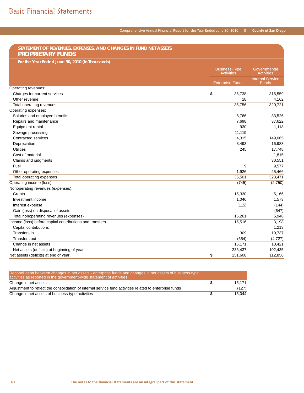#### **STATEMENT OF REVENUES, EXPENSES, AND CHANGES IN FUND NET ASSETS PROPRIETARY FUNDS For the Year Ended June 30, 2010 (In Thousands)** Business-Type Activities **Governmental Activities** Enterprise Funds Internal Service Funds Operating revenues: Charges for current services  $\sim$  35,738 316,559 Other revenue 18 4,162 Total operating revenues 35,756 320,721 Operating expenses: Salaries and employee benefits 6,766 33,526 Repairs and maintenance 37,622 Equipment rental and the state of the state of the state of the state of the state of the state of the state of the state of the state of the state of the state of the state of the state of the state of the state of the st Sewage processing 11,119 Contracted services and the services of the services of the services of the services of the services of the services of the services of the services of the services of the services of the services of the services of the se  $\blacksquare$ Depreciation 3,493  $\hspace{1.6cm}$  16,983  $\hspace{1.6cm}$  16,983  $\hspace{1.6cm}$  16,983  $\hspace{1.6cm}$  16,983  $\hspace{1.6cm}$  16,983  $\hspace{1.6cm}$  16,983  $\hspace{1.6cm}$  16,983  $\hspace{1.6cm}$  16,983  $\hspace{1.6cm}$  16,983  $\hspace{1.6cm}$  16,983  $\hspace{1$ Utilities 245 17,748 Cost of material 1,815 Claims and judgments 30,551 Fuel  $\,$  9 $\,$  9,577 $\,$ Other operating expenses 25,466 Total operating expenses 36,501 323,471 323,471 323,471 323,471 323,471 323,471 323,471 323,471 323,471 323,471 323,471 323,471 323,471 323,471 323,471 323,471 323,471 323,471 323,471 323,471 323,471 323,471 323,471 323,47 Operating income (loss) (2,750) (2,750) (2,750) Nonoperating revenues (expenses): Grants 15,330 5,166 Investment income 1,573 Interest expense (115) (144) Gain (loss) on disposal of assets (647) (647) Total nonoperating revenues (expenses) 6,948 Income (loss) before capital contributions and transfers 15,516  $3,198$ Capital contributions and the contributions of the contributions of the contributions of the contributions of the contributions of the contributions of the contributions of the contributions of the contributions of the con Transfers in 309 10,737 Transfers out (654) (4,727) Change in net assets 15,171 10,421 10,421 10,421 10,421 10,421 10,421 10,421 10,421 10,421 10,421 10,421 10,421 10,421 10,421 10,421 10,421 10,421 10,421 10,421 10,421 10,421 10,421 10,421 10,421 10,421 10,421 10,421 10,42 Net assets (deficits) at beginning of year 205,435 and 236,437 and 236,437 and 236,437 and 236,437 and 236,437 Net assets (deficits) at end of year  $\sim$  251,608 112,856

| Reconciliation between changes in net assets - enterprise funds and changes in net assets of business-type<br>activities as reported in the government-wide statement of activities |        |
|-------------------------------------------------------------------------------------------------------------------------------------------------------------------------------------|--------|
| Change in net assets                                                                                                                                                                | 15.171 |
| Adjustment to reflect the consolidation of internal service fund activities related to enterprise funds                                                                             | (127)  |
| Change in net assets of business-type activities                                                                                                                                    | 15,044 |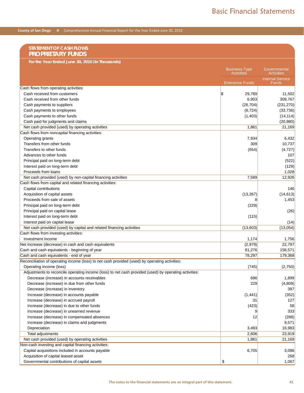| <b>STATEMENT OF CASH FLOWS</b><br><b>PROPRIETARY FUNDS</b>                                            |                                           |                                         |
|-------------------------------------------------------------------------------------------------------|-------------------------------------------|-----------------------------------------|
| For the Year Ended June 30, 2010 (In Thousands)                                                       |                                           |                                         |
|                                                                                                       | <b>Business-Type</b><br><b>Activities</b> | Governmental<br><b>Activities</b>       |
|                                                                                                       | <b>Enterprise Funds</b>                   | <b>Internal Service</b><br><b>Funds</b> |
| Cash flows from operating activities:                                                                 |                                           |                                         |
| Cash received from customers                                                                          | \$<br>29,789                              | 11,502                                  |
| Cash received from other funds                                                                        | 6,903                                     | 309,767                                 |
| Cash payments to suppliers                                                                            | (26, 704)                                 | (231, 270)                              |
| Cash payments to employees                                                                            | (6, 724)                                  | (33, 736)                               |
| Cash payments to other funds                                                                          | (1, 403)                                  | (14, 114)                               |
| Cash paid for judgments and claims                                                                    |                                           | (20, 980)                               |
| Net cash provided (used) by operating activities                                                      | 1,861                                     | 21,169                                  |
| Cash flows from noncapital financing activities:                                                      |                                           |                                         |
| Operating grants                                                                                      | 7,934                                     | 6,432                                   |
| Transfers from other funds                                                                            | 309                                       | 10,737                                  |
| Transfers to other funds                                                                              | (654)                                     | (4, 727)                                |
| Advances to other funds                                                                               |                                           | 107                                     |
| Principal paid on long-term debt                                                                      |                                           | (522)                                   |
| Interest paid on long-term debt                                                                       |                                           | (129)                                   |
| Proceeds from loans                                                                                   |                                           | 1,028                                   |
| Net cash provided (used) by non-capital financing activities                                          | 7,589                                     | 12,926                                  |
| Cash flows from capital and related financing activities:                                             |                                           |                                         |
| Capital contributions                                                                                 |                                           | 146                                     |
| Acquisition of capital assets                                                                         | (13, 267)                                 | (14, 613)                               |
| Proceeds from sale of assets                                                                          | 8                                         | 1,453                                   |
| Principal paid on long-term debt                                                                      | (229)                                     |                                         |
| Principal paid on capital lease                                                                       |                                           | (26)                                    |
| Interest paid on long-term debt                                                                       | (115)                                     |                                         |
| Interest paid on capital lease                                                                        |                                           | (14)                                    |
| Net cash provided (used) by capital and related financing activities                                  | (13,603)                                  | (13,054)                                |
| Cash flows from investing activities:                                                                 |                                           |                                         |
| Investment income                                                                                     | 1,174                                     | 1,756                                   |
| Net increase (decrease) in cash and cash equivalents                                                  | (2,979)                                   | 22,797                                  |
| Cash and cash equivalents - beginning of year                                                         | 81,276                                    | 156,571                                 |
| Cash and cash equivalents - end of year                                                               | 78,297                                    | 179,368                                 |
| Reconciliation of operating income (loss) to net cash provided (used) by operating activities:        |                                           |                                         |
| Operating income (loss)                                                                               | (745)                                     | (2,750)                                 |
| Adjustments to reconcile operating income (loss) to net cash provided (used) by operating activities: |                                           |                                         |
| Decrease (increase) in accounts receivables                                                           | 696                                       | 1,899                                   |
| Decrease (increase) in due from other funds                                                           | 229                                       | (4,809)                                 |
| Decrease (increase) in inventory                                                                      |                                           | 397                                     |
| Increase (decrease) in accounts payable                                                               | (1, 441)                                  | (352)                                   |
| Increase (decrease) in accrued payroll                                                                | 31                                        | 127                                     |
| Increase (decrease) in due to other funds                                                             | (423)                                     | 58                                      |
| Increase (decrease) in unearned revenue                                                               | 9                                         | 333                                     |
| Increase (decrease) in compensated absences                                                           | 12                                        | (288)                                   |
| Increase (decrease) in claims and judgments                                                           |                                           | 9,571                                   |
| Depreciation                                                                                          | 3,493                                     | 16,983                                  |
| Total adjustments                                                                                     | 2,606                                     | 23,919                                  |
| Net cash provided (used) by operating activities                                                      | 1,861                                     | 21,169                                  |
| Non-cash investing and capital financing activities:                                                  |                                           |                                         |
| Capital acquisitions included in accounts payable                                                     | 6,705                                     | 3,096                                   |
| Acquisition of capital leased asset                                                                   |                                           | 268                                     |
| Governmental contributions of capital assets                                                          | \$                                        | 1,067                                   |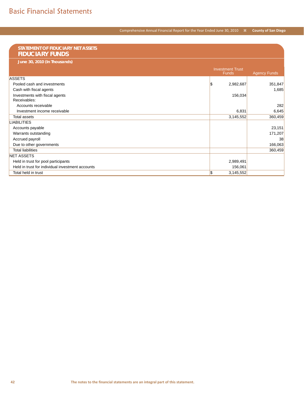### Comprehensive Annual Financial Report for the Year Ended June 30, 2010 **County of San Diego**

| STATEMENT OF FIDUCIARY NET ASSETS                |                                         |                     |
|--------------------------------------------------|-----------------------------------------|---------------------|
| <b>FIDUCIARY FUNDS</b>                           |                                         |                     |
| June 30, 2010 (In Thousands)                     |                                         |                     |
|                                                  |                                         |                     |
|                                                  | <b>Investment Trust</b><br><b>Funds</b> |                     |
| <b>ASSETS</b>                                    |                                         | <b>Agency Funds</b> |
|                                                  |                                         |                     |
| Pooled cash and investments                      | S.<br>2,982,687                         | 351,847             |
| Cash with fiscal agents                          |                                         | 1,685               |
| Investments with fiscal agents                   | 156,034                                 |                     |
| Receivables:                                     |                                         |                     |
| Accounts receivable                              |                                         | 282                 |
| Investment income receivable                     | 6,831                                   | 6,645               |
| <b>Total assets</b>                              | 3,145,552                               | 360,459             |
| <b>LIABILITIES</b>                               |                                         |                     |
| Accounts payable                                 |                                         | 23,151              |
| Warrants outstanding                             |                                         | 171,207             |
| Accrued payroll                                  |                                         | 38                  |
| Due to other governments                         |                                         | 166,063             |
| <b>Total liabilities</b>                         |                                         | 360,459             |
| <b>NET ASSETS</b>                                |                                         |                     |
| Held in trust for pool participants              | 2,989,491                               |                     |
| Held in trust for individual investment accounts | 156,061                                 |                     |
| Total held in trust                              | S.<br>3,145,552                         |                     |